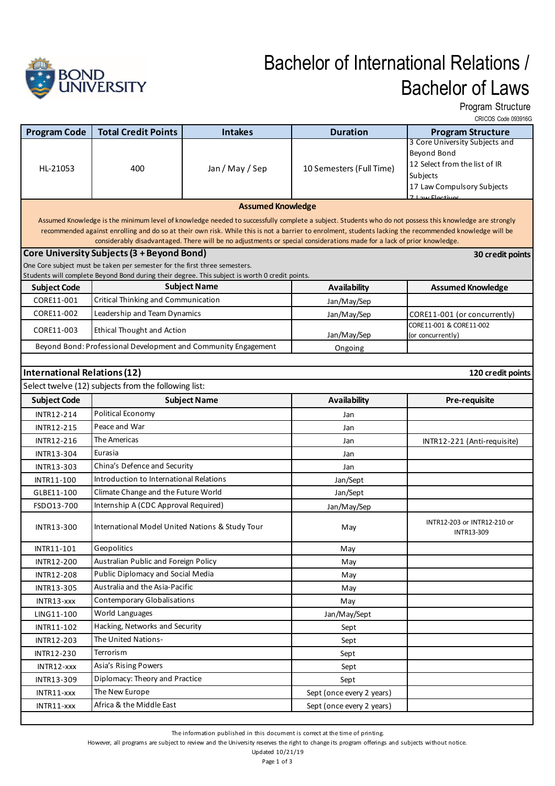

## Bachelor of International Relations / Bachelor of Laws

Program Structure

|                                     | <b>Total Credit Points</b>                                                                     |                                                                |                                                                                                                        | CRICOS Code 093916G                                                                                                                                                                                                                                                                                               |
|-------------------------------------|------------------------------------------------------------------------------------------------|----------------------------------------------------------------|------------------------------------------------------------------------------------------------------------------------|-------------------------------------------------------------------------------------------------------------------------------------------------------------------------------------------------------------------------------------------------------------------------------------------------------------------|
| <b>Program Code</b><br>HL-21053     |                                                                                                | <b>Intakes</b>                                                 | <b>Duration</b>                                                                                                        | <b>Program Structure</b><br>3 Core University Subjects and                                                                                                                                                                                                                                                        |
|                                     |                                                                                                | Jan / May / Sep                                                |                                                                                                                        | Beyond Bond                                                                                                                                                                                                                                                                                                       |
|                                     | 400                                                                                            |                                                                |                                                                                                                        | 12 Select from the list of IR                                                                                                                                                                                                                                                                                     |
|                                     |                                                                                                |                                                                | 10 Semesters (Full Time)                                                                                               | Subjects                                                                                                                                                                                                                                                                                                          |
|                                     |                                                                                                |                                                                |                                                                                                                        | 17 Law Compulsory Subjects                                                                                                                                                                                                                                                                                        |
|                                     |                                                                                                | <b>Assumed Knowledge</b>                                       |                                                                                                                        | 7 Law Floctives                                                                                                                                                                                                                                                                                                   |
|                                     |                                                                                                |                                                                |                                                                                                                        |                                                                                                                                                                                                                                                                                                                   |
|                                     |                                                                                                |                                                                |                                                                                                                        | Assumed Knowledge is the minimum level of knowledge needed to successfully complete a subject. Students who do not possess this knowledge are strongly<br>recommended against enrolling and do so at their own risk. While this is not a barrier to enrolment, students lacking the recommended knowledge will be |
|                                     |                                                                                                |                                                                | considerably disadvantaged. There will be no adjustments or special considerations made for a lack of prior knowledge. |                                                                                                                                                                                                                                                                                                                   |
|                                     | <b>Core University Subjects (3 + Beyond Bond)</b>                                              |                                                                |                                                                                                                        | 30 credit points                                                                                                                                                                                                                                                                                                  |
|                                     | One Core subject must be taken per semester for the first three semesters.                     |                                                                |                                                                                                                        |                                                                                                                                                                                                                                                                                                                   |
|                                     | Students will complete Beyond Bond during their degree. This subject is worth 0 credit points. |                                                                |                                                                                                                        |                                                                                                                                                                                                                                                                                                                   |
| <b>Subject Code</b>                 |                                                                                                | <b>Subject Name</b>                                            | <b>Availability</b>                                                                                                    | <b>Assumed Knowledge</b>                                                                                                                                                                                                                                                                                          |
| CORE11-001                          | <b>Critical Thinking and Communication</b>                                                     |                                                                | Jan/May/Sep                                                                                                            |                                                                                                                                                                                                                                                                                                                   |
| CORE11-002                          | Leadership and Team Dynamics                                                                   |                                                                | Jan/May/Sep                                                                                                            | CORE11-001 (or concurrently)<br>CORE11-001 & CORE11-002                                                                                                                                                                                                                                                           |
| CORE11-003                          | <b>Ethical Thought and Action</b>                                                              |                                                                | Jan/May/Sep                                                                                                            | (or concurrently)                                                                                                                                                                                                                                                                                                 |
|                                     |                                                                                                | Beyond Bond: Professional Development and Community Engagement | Ongoing                                                                                                                |                                                                                                                                                                                                                                                                                                                   |
|                                     |                                                                                                |                                                                |                                                                                                                        |                                                                                                                                                                                                                                                                                                                   |
| <b>International Relations (12)</b> |                                                                                                |                                                                |                                                                                                                        | 120 credit points                                                                                                                                                                                                                                                                                                 |
|                                     | Select twelve (12) subjects from the following list:                                           |                                                                |                                                                                                                        |                                                                                                                                                                                                                                                                                                                   |
| <b>Subject Code</b>                 |                                                                                                | <b>Subject Name</b>                                            | <b>Availability</b>                                                                                                    | <b>Pre-requisite</b>                                                                                                                                                                                                                                                                                              |
| <b>INTR12-214</b>                   | Political Economy                                                                              |                                                                | Jan                                                                                                                    |                                                                                                                                                                                                                                                                                                                   |
| <b>INTR12-215</b>                   | Peace and War                                                                                  |                                                                | Jan                                                                                                                    |                                                                                                                                                                                                                                                                                                                   |
| INTR12-216                          | The Americas                                                                                   |                                                                | Jan                                                                                                                    | INTR12-221 (Anti-requisite)                                                                                                                                                                                                                                                                                       |
| <b>INTR13-304</b>                   | Eurasia                                                                                        |                                                                | Jan                                                                                                                    |                                                                                                                                                                                                                                                                                                                   |
| <b>INTR13-303</b>                   | China's Defence and Security                                                                   |                                                                | Jan                                                                                                                    |                                                                                                                                                                                                                                                                                                                   |
| INTR11-100                          | Introduction to International Relations                                                        |                                                                | Jan/Sept                                                                                                               |                                                                                                                                                                                                                                                                                                                   |
| GLBE11-100                          | Climate Change and the Future World                                                            |                                                                | Jan/Sept                                                                                                               |                                                                                                                                                                                                                                                                                                                   |
| FSD013-700                          | Internship A (CDC Approval Required)                                                           |                                                                | Jan/May/Sep                                                                                                            |                                                                                                                                                                                                                                                                                                                   |
|                                     | International Model United Nations & Study Tour                                                |                                                                |                                                                                                                        | INTR12-203 or INTR12-210 or                                                                                                                                                                                                                                                                                       |
| <b>INTR13-300</b>                   |                                                                                                |                                                                | May                                                                                                                    | <b>INTR13-309</b>                                                                                                                                                                                                                                                                                                 |
| INTR11-101                          | Geopolitics                                                                                    |                                                                | May                                                                                                                    |                                                                                                                                                                                                                                                                                                                   |
| INTR12-200                          | Australian Public and Foreign Policy                                                           |                                                                | May                                                                                                                    |                                                                                                                                                                                                                                                                                                                   |
| <b>INTR12-208</b>                   | Public Diplomacy and Social Media                                                              |                                                                | May                                                                                                                    |                                                                                                                                                                                                                                                                                                                   |
| INTR13-305                          | Australia and the Asia-Pacific                                                                 |                                                                | May                                                                                                                    |                                                                                                                                                                                                                                                                                                                   |
| INTR13-xxx                          | <b>Contemporary Globalisations</b>                                                             |                                                                | May                                                                                                                    |                                                                                                                                                                                                                                                                                                                   |
| LING11-100                          | World Languages                                                                                |                                                                | Jan/May/Sept                                                                                                           |                                                                                                                                                                                                                                                                                                                   |
| INTR11-102                          | Hacking, Networks and Security                                                                 |                                                                | Sept                                                                                                                   |                                                                                                                                                                                                                                                                                                                   |
| INTR12-203                          | The United Nations-                                                                            |                                                                | Sept                                                                                                                   |                                                                                                                                                                                                                                                                                                                   |
| INTR12-230                          | Terrorism                                                                                      |                                                                | Sept                                                                                                                   |                                                                                                                                                                                                                                                                                                                   |
| INTR12-xxx                          | Asia's Rising Powers                                                                           |                                                                | Sept                                                                                                                   |                                                                                                                                                                                                                                                                                                                   |
| INTR13-309                          | Diplomacy: Theory and Practice                                                                 |                                                                | Sept                                                                                                                   |                                                                                                                                                                                                                                                                                                                   |
| INTR11-xxx                          | The New Europe                                                                                 |                                                                | Sept (once every 2 years)                                                                                              |                                                                                                                                                                                                                                                                                                                   |
| INTR11-xxx                          | Africa & the Middle East                                                                       |                                                                | Sept (once every 2 years)                                                                                              |                                                                                                                                                                                                                                                                                                                   |
|                                     |                                                                                                |                                                                |                                                                                                                        |                                                                                                                                                                                                                                                                                                                   |

However, all programs are subject to review and the University reserves the right to change its program offerings and subjects without notice.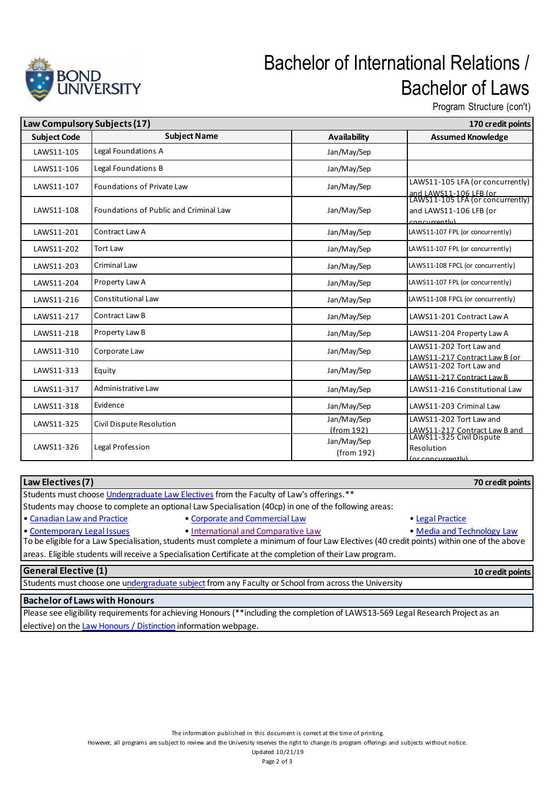

## Bachelor of International Relations / Bachelor of Laws

Program Structure (con't)

| Law Compulsory Subjects (17) |                                        | 170 credit points         |                                                                                      |
|------------------------------|----------------------------------------|---------------------------|--------------------------------------------------------------------------------------|
| <b>Subject Code</b>          | <b>Subject Name</b>                    | <b>Availability</b>       | <b>Assumed Knowledge</b>                                                             |
| LAWS11-105                   | Legal Foundations A                    | Jan/May/Sep               |                                                                                      |
| LAWS11-106                   | Legal Foundations B                    | Jan/May/Sep               |                                                                                      |
| LAWS11-107                   | <b>Foundations of Private Law</b>      | Jan/May/Sep               | LAWS11-105 LFA (or concurrently)<br>and LAWS11-106 LFB (or                           |
| LAWS11-108                   | Foundations of Public and Criminal Law | Jan/May/Sep               | LAWS11-105 LFA (or concurrently)<br>and LAWS11-106 LFB (or<br>concurronthy           |
| LAWS11-201                   | Contract Law A                         | Jan/May/Sep               | LAWS11-107 FPL (or concurrently)                                                     |
| LAWS11-202                   | <b>Tort Law</b>                        | Jan/May/Sep               | LAWS11-107 FPL (or concurrently)                                                     |
| LAWS11-203                   | <b>Criminal Law</b>                    | Jan/May/Sep               | LAWS11-108 FPCL (or concurrently)                                                    |
| LAWS11-204                   | Property Law A                         | Jan/May/Sep               | LAWS11-107 FPL (or concurrently)                                                     |
| LAWS11-216                   | <b>Constitutional Law</b>              | Jan/May/Sep               | LAWS11-108 FPCL (or concurrently)                                                    |
| LAWS11-217                   | Contract Law B                         | Jan/May/Sep               | LAWS11-201 Contract Law A                                                            |
| LAWS11-218                   | Property Law B                         | Jan/May/Sep               | LAWS11-204 Property Law A                                                            |
| LAWS11-310                   | Corporate Law                          | Jan/May/Sep               | LAWS11-202 Tort Law and<br>LAWS11-217 Contract Law B (or                             |
| LAWS11-313                   | Equity                                 | Jan/May/Sep               | LAWS11-202 Tort Law and<br>LAWS11-217 Contract Law B                                 |
| LAWS11-317                   | Administrative Law                     | Jan/May/Sep               | LAWS11-216 Constitutional Law                                                        |
| LAWS11-318                   | Evidence                               | Jan/May/Sep               | LAWS11-203 Criminal Law                                                              |
| LAWS11-325                   | Civil Dispute Resolution               | Jan/May/Sep<br>(from 192) | LAWS11-202 Tort Law and<br>LAWS11-217 Contract Law B and<br>LAWS11-325 Civil Dispute |
| LAWS11-326                   | Legal Profession                       | Jan/May/Sep<br>(from 192) | Resolution<br>(or concurrently)                                                      |

| Law Electives (7)                                                                                                                          |                                     | 70 credit points           |  |  |  |  |
|--------------------------------------------------------------------------------------------------------------------------------------------|-------------------------------------|----------------------------|--|--|--|--|
| Students must choose Undergraduate Law Electives from the Faculty of Law's offerings.**                                                    |                                     |                            |  |  |  |  |
| Students may choose to complete an optional Law Specialisation (40cp) in one of the following areas:                                       |                                     |                            |  |  |  |  |
| • Canadian Law and Practice                                                                                                                | • Corporate and Commercial Law      | • Legal Practice           |  |  |  |  |
| • Contemporary Legal Issues                                                                                                                | • International and Comparative Law | • Media and Technology Law |  |  |  |  |
| To be eligible for a Law Specialisation, students must complete a minimum of four Law Electives (40 credit points) within one of the above |                                     |                            |  |  |  |  |
| areas. Eligible students will receive a Specialisation Certificate at the completion of their Law program.                                 |                                     |                            |  |  |  |  |
| <b>General Elective (1)</b>                                                                                                                |                                     | 10 credit points           |  |  |  |  |
| Students must choose one undergraduate subject from any Faculty or School from across the University                                       |                                     |                            |  |  |  |  |
| <b>Bachelor of Laws with Honours</b>                                                                                                       |                                     |                            |  |  |  |  |

## Please see eligibility requirements for achieving Honours (\*\*including the completion of LAWS13-569 Legal Research Project as an elective) on the Law Honours / Distinction information webpage.

However, all programs are subject to review and the University reserves the right to change its program offerings and subjects without notice.

Updated 10/21/19 Page 2 of 3